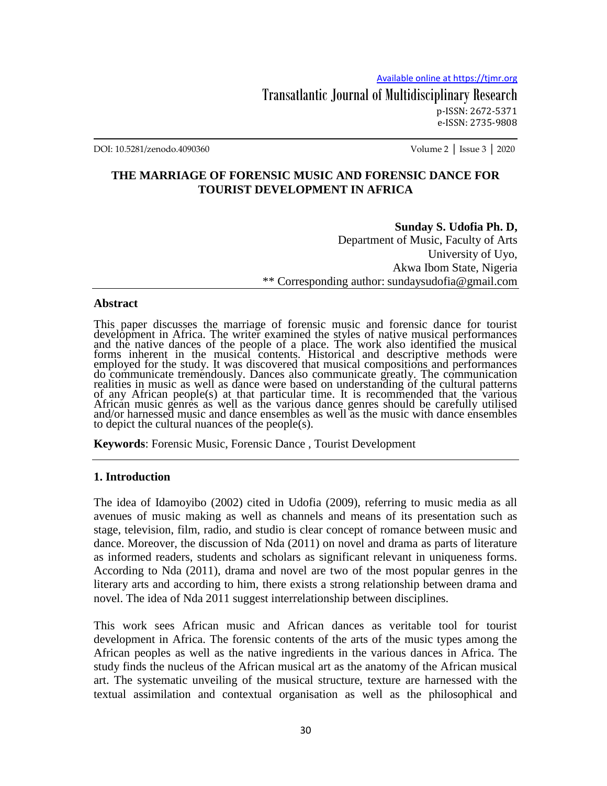Transatlantic Journal of Multidisciplinary Research p-ISSN: 2672-5371 e-ISSN: 2735-9808

DOI: 10.5281/zenodo.4090360 Volume 2 │ Issue 3 │ 2020

## **THE MARRIAGE OF FORENSIC MUSIC AND FORENSIC DANCE FOR TOURIST DEVELOPMENT IN AFRICA**

**Sunday S. Udofia Ph. D,**  Department of Music, Faculty of Arts University of Uyo, Akwa Ibom State, Nigeria \*\* Corresponding author: sundaysudofia@gmail.com

#### **Abstract**

This paper discusses the marriage of forensic music and forensic dance for tourist development in Africa. The writer examined the styles of native musical performances and the native dances of the people of a place. The work also identified the musical forms inherent in the musical contents. Historical and descriptive methods were employed for the study. It was discovered that musical compositions and performances do communicate tremendously. Dances also communicate greatly. The communication realities in music as well as dance were based on understanding of the cultural patterns of any African people(s) at that particular time. It is recommended that the various African music genres as well as the various dance genres should be carefully utilised and/or harnessed music and dance ensembles as well as the music with dance ensembles to depict the cultural nuances of the people(s).

**Keywords**: Forensic Music, Forensic Dance , Tourist Development

#### **1. Introduction**

The idea of Idamoyibo (2002) cited in Udofia (2009), referring to music media as all avenues of music making as well as channels and means of its presentation such as stage, television, film, radio, and studio is clear concept of romance between music and dance. Moreover, the discussion of Nda (2011) on novel and drama as parts of literature as informed readers, students and scholars as significant relevant in uniqueness forms. According to Nda (2011), drama and novel are two of the most popular genres in the literary arts and according to him, there exists a strong relationship between drama and novel. The idea of Nda 2011 suggest interrelationship between disciplines.

This work sees African music and African dances as veritable tool for tourist development in Africa. The forensic contents of the arts of the music types among the African peoples as well as the native ingredients in the various dances in Africa. The study finds the nucleus of the African musical art as the anatomy of the African musical art. The systematic unveiling of the musical structure, texture are harnessed with the textual assimilation and contextual organisation as well as the philosophical and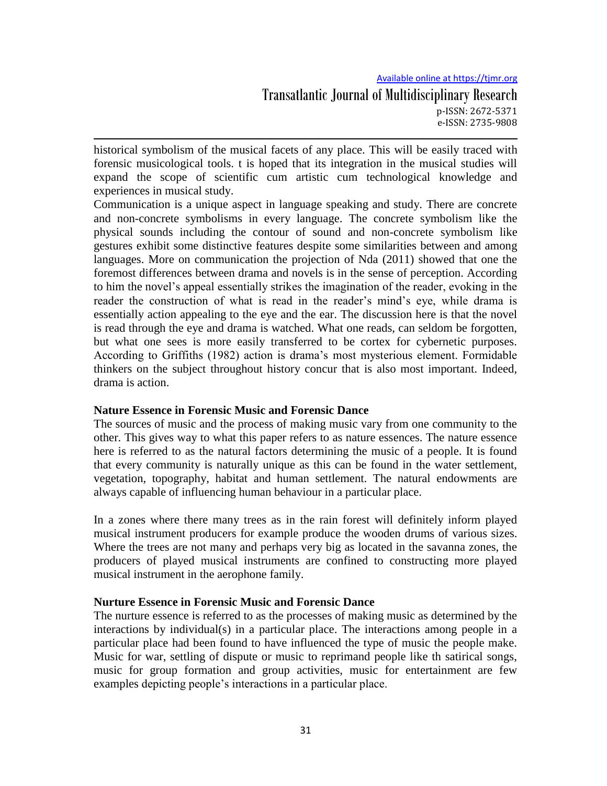Available online at https://tjmr.org Transatlantic Journal of Multidisciplinary Research p-ISSN: 2672-5371 e-ISSN: 2735-9808

historical symbolism of the musical facets of any place. This will be easily traced with forensic musicological tools. t is hoped that its integration in the musical studies will expand the scope of scientific cum artistic cum technological knowledge and experiences in musical study.

Communication is a unique aspect in language speaking and study. There are concrete and non-concrete symbolisms in every language. The concrete symbolism like the physical sounds including the contour of sound and non-concrete symbolism like gestures exhibit some distinctive features despite some similarities between and among languages. More on communication the projection of Nda (2011) showed that one the foremost differences between drama and novels is in the sense of perception. According to him the novel's appeal essentially strikes the imagination of the reader, evoking in the reader the construction of what is read in the reader's mind's eye, while drama is essentially action appealing to the eye and the ear. The discussion here is that the novel is read through the eye and drama is watched. What one reads, can seldom be forgotten, but what one sees is more easily transferred to be cortex for cybernetic purposes. According to Griffiths (1982) action is drama's most mysterious element. Formidable thinkers on the subject throughout history concur that is also most important. Indeed, drama is action.

#### **Nature Essence in Forensic Music and Forensic Dance**

The sources of music and the process of making music vary from one community to the other. This gives way to what this paper refers to as nature essences. The nature essence here is referred to as the natural factors determining the music of a people. It is found that every community is naturally unique as this can be found in the water settlement, vegetation, topography, habitat and human settlement. The natural endowments are always capable of influencing human behaviour in a particular place.

In a zones where there many trees as in the rain forest will definitely inform played musical instrument producers for example produce the wooden drums of various sizes. Where the trees are not many and perhaps very big as located in the savanna zones, the producers of played musical instruments are confined to constructing more played musical instrument in the aerophone family.

#### **Nurture Essence in Forensic Music and Forensic Dance**

The nurture essence is referred to as the processes of making music as determined by the interactions by individual(s) in a particular place. The interactions among people in a particular place had been found to have influenced the type of music the people make. Music for war, settling of dispute or music to reprimand people like th satirical songs, music for group formation and group activities, music for entertainment are few examples depicting people's interactions in a particular place.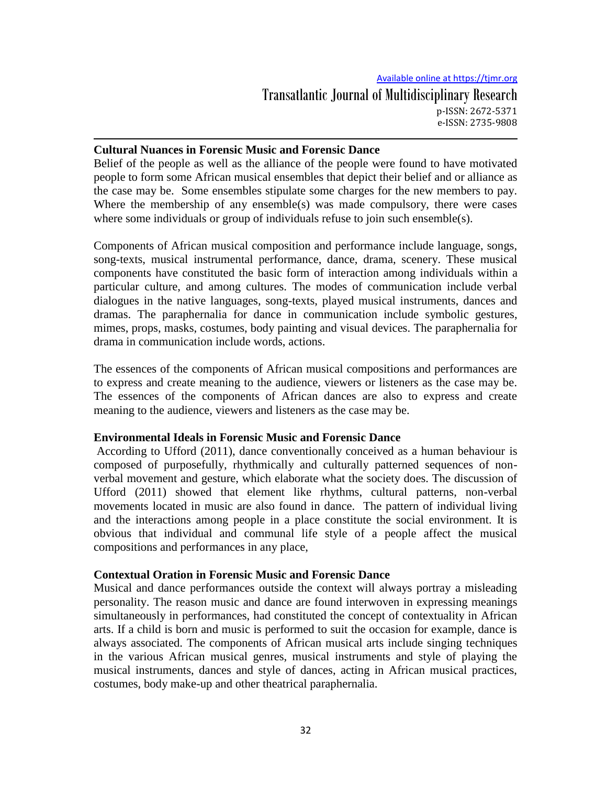#### **Cultural Nuances in Forensic Music and Forensic Dance**

Belief of the people as well as the alliance of the people were found to have motivated people to form some African musical ensembles that depict their belief and or alliance as the case may be. Some ensembles stipulate some charges for the new members to pay. Where the membership of any ensemble(s) was made compulsory, there were cases where some individuals or group of individuals refuse to join such ensemble(s).

Components of African musical composition and performance include language, songs, song-texts, musical instrumental performance, dance, drama, scenery. These musical components have constituted the basic form of interaction among individuals within a particular culture, and among cultures. The modes of communication include verbal dialogues in the native languages, song-texts, played musical instruments, dances and dramas. The paraphernalia for dance in communication include symbolic gestures, mimes, props, masks, costumes, body painting and visual devices. The paraphernalia for drama in communication include words, actions.

The essences of the components of African musical compositions and performances are to express and create meaning to the audience, viewers or listeners as the case may be. The essences of the components of African dances are also to express and create meaning to the audience, viewers and listeners as the case may be.

#### **Environmental Ideals in Forensic Music and Forensic Dance**

According to Ufford (2011), dance conventionally conceived as a human behaviour is composed of purposefully, rhythmically and culturally patterned sequences of nonverbal movement and gesture, which elaborate what the society does. The discussion of Ufford (2011) showed that element like rhythms, cultural patterns, non-verbal movements located in music are also found in dance. The pattern of individual living and the interactions among people in a place constitute the social environment. It is obvious that individual and communal life style of a people affect the musical compositions and performances in any place,

#### **Contextual Oration in Forensic Music and Forensic Dance**

Musical and dance performances outside the context will always portray a misleading personality. The reason music and dance are found interwoven in expressing meanings simultaneously in performances, had constituted the concept of contextuality in African arts. If a child is born and music is performed to suit the occasion for example, dance is always associated. The components of African musical arts include singing techniques in the various African musical genres, musical instruments and style of playing the musical instruments, dances and style of dances, acting in African musical practices, costumes, body make-up and other theatrical paraphernalia.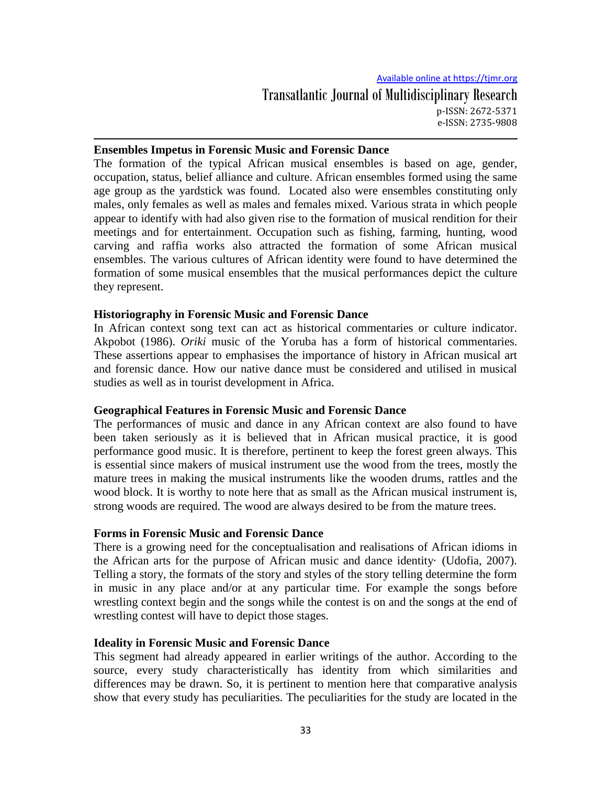#### **Ensembles Impetus in Forensic Music and Forensic Dance**

The formation of the typical African musical ensembles is based on age, gender, occupation, status, belief alliance and culture. African ensembles formed using the same age group as the yardstick was found. Located also were ensembles constituting only males, only females as well as males and females mixed. Various strata in which people appear to identify with had also given rise to the formation of musical rendition for their meetings and for entertainment. Occupation such as fishing, farming, hunting, wood carving and raffia works also attracted the formation of some African musical ensembles. The various cultures of African identity were found to have determined the formation of some musical ensembles that the musical performances depict the culture they represent.

### **Historiography in Forensic Music and Forensic Dance**

In African context song text can act as historical commentaries or culture indicator. Akpobot (1986). *Oriki* music of the Yoruba has a form of historical commentaries. These assertions appear to emphasises the importance of history in African musical art and forensic dance. How our native dance must be considered and utilised in musical studies as well as in tourist development in Africa.

## **Geographical Features in Forensic Music and Forensic Dance**

The performances of music and dance in any African context are also found to have been taken seriously as it is believed that in African musical practice, it is good performance good music. It is therefore, pertinent to keep the forest green always. This is essential since makers of musical instrument use the wood from the trees, mostly the mature trees in making the musical instruments like the wooden drums, rattles and the wood block. It is worthy to note here that as small as the African musical instrument is, strong woods are required. The wood are always desired to be from the mature trees.

#### **Forms in Forensic Music and Forensic Dance**

There is a growing need for the conceptualisation and realisations of African idioms in the African arts for the purpose of African music and dance identity· (Udofia, 2007). Telling a story, the formats of the story and styles of the story telling determine the form in music in any place and/or at any particular time. For example the songs before wrestling context begin and the songs while the contest is on and the songs at the end of wrestling contest will have to depict those stages.

### **Ideality in Forensic Music and Forensic Dance**

This segment had already appeared in earlier writings of the author. According to the source, every study characteristically has identity from which similarities and differences may be drawn. So, it is pertinent to mention here that comparative analysis show that every study has peculiarities. The peculiarities for the study are located in the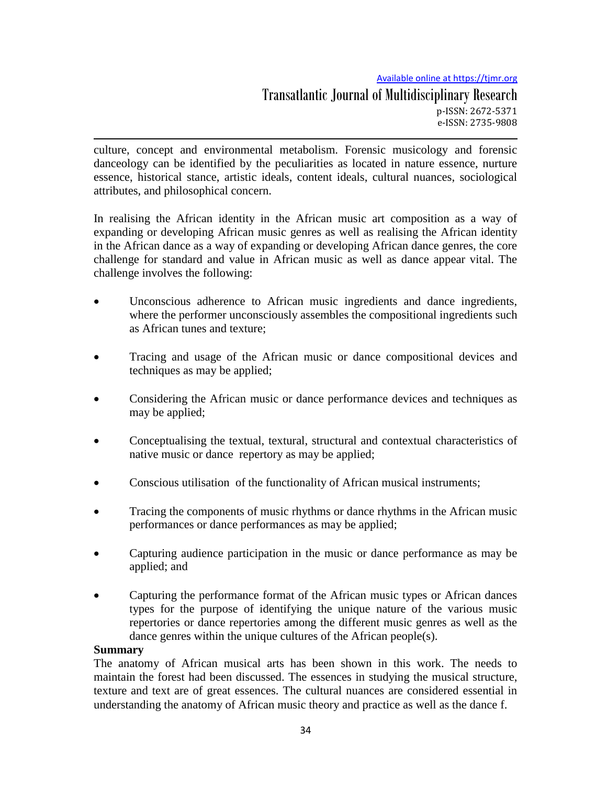Available online at https://tjmr.org

culture, concept and environmental metabolism. Forensic musicology and forensic danceology can be identified by the peculiarities as located in nature essence, nurture essence, historical stance, artistic ideals, content ideals, cultural nuances, sociological attributes, and philosophical concern.

In realising the African identity in the African music art composition as a way of expanding or developing African music genres as well as realising the African identity in the African dance as a way of expanding or developing African dance genres, the core challenge for standard and value in African music as well as dance appear vital. The challenge involves the following:

- Unconscious adherence to African music ingredients and dance ingredients, where the performer unconsciously assembles the compositional ingredients such as African tunes and texture;
- Tracing and usage of the African music or dance compositional devices and techniques as may be applied;
- Considering the African music or dance performance devices and techniques as may be applied;
- Conceptualising the textual, textural, structural and contextual characteristics of native music or dance repertory as may be applied;
- Conscious utilisation of the functionality of African musical instruments;
- Tracing the components of music rhythms or dance rhythms in the African music performances or dance performances as may be applied;
- Capturing audience participation in the music or dance performance as may be applied; and
- Capturing the performance format of the African music types or African dances types for the purpose of identifying the unique nature of the various music repertories or dance repertories among the different music genres as well as the dance genres within the unique cultures of the African people(s).

# **Summary**

The anatomy of African musical arts has been shown in this work. The needs to maintain the forest had been discussed. The essences in studying the musical structure, texture and text are of great essences. The cultural nuances are considered essential in understanding the anatomy of African music theory and practice as well as the dance f.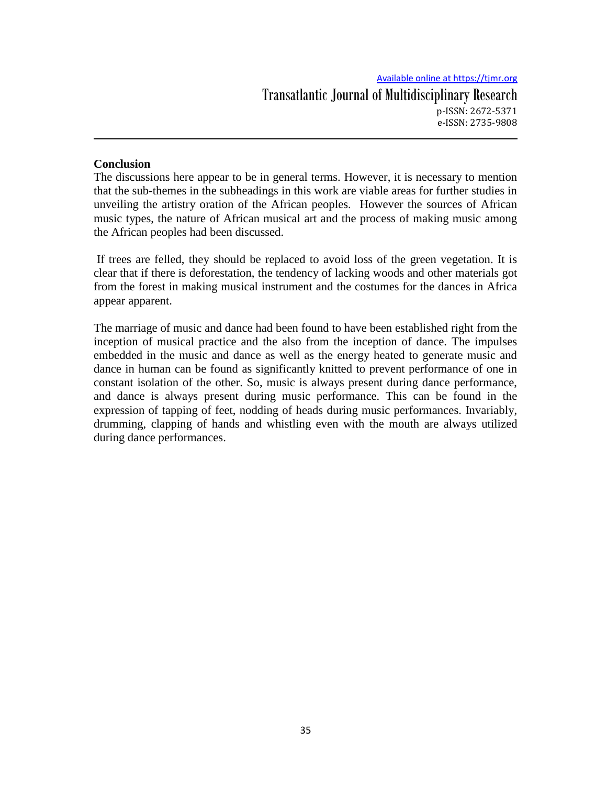## **Conclusion**

The discussions here appear to be in general terms. However, it is necessary to mention that the sub-themes in the subheadings in this work are viable areas for further studies in unveiling the artistry oration of the African peoples. However the sources of African music types, the nature of African musical art and the process of making music among the African peoples had been discussed.

If trees are felled, they should be replaced to avoid loss of the green vegetation. It is clear that if there is deforestation, the tendency of lacking woods and other materials got from the forest in making musical instrument and the costumes for the dances in Africa appear apparent.

The marriage of music and dance had been found to have been established right from the inception of musical practice and the also from the inception of dance. The impulses embedded in the music and dance as well as the energy heated to generate music and dance in human can be found as significantly knitted to prevent performance of one in constant isolation of the other. So, music is always present during dance performance, and dance is always present during music performance. This can be found in the expression of tapping of feet, nodding of heads during music performances. Invariably, drumming, clapping of hands and whistling even with the mouth are always utilized during dance performances.